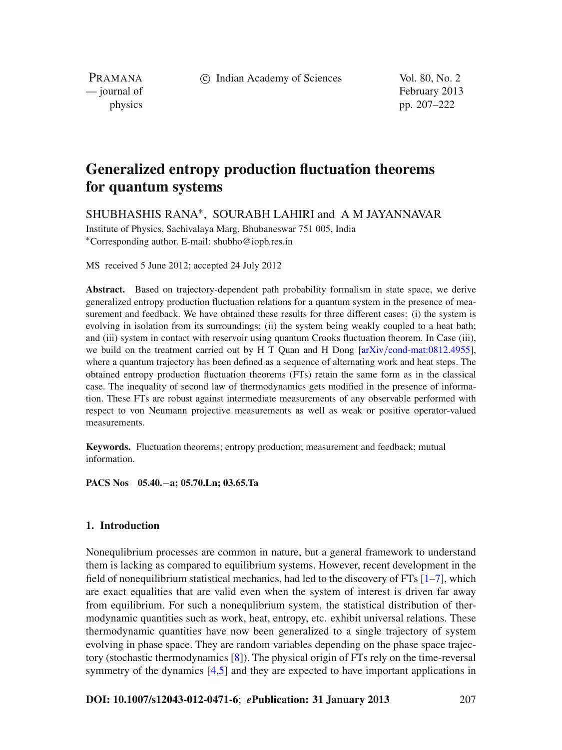c Indian Academy of Sciences Vol. 80, No. 2

PRAMANA

— journal of February 2013 physics pp. 207–222

# **Generalized entropy production fluctuation theorems for quantum systems**

# SHUBHASHIS RANA∗, SOURABH LAHIRI and A M JAYANNAVAR

Institute of Physics, Sachivalaya Marg, Bhubaneswar 751 005, India <sup>∗</sup>Corresponding author. E-mail: shubho@iopb.res.in

MS received 5 June 2012; accepted 24 July 2012

Abstract. Based on trajectory-dependent path probability formalism in state space, we derive generalized entropy production fluctuation relations for a quantum system in the presence of measurement and feedback. We have obtained these results for three different cases: (i) the system is evolving in isolation from its surroundings; (ii) the system being weakly coupled to a heat bath; and (iii) system in contact with reservoir using quantum Crooks fluctuation theorem. In Case (iii), we build on the treatment carried out by H T Quan and H Dong [arXiv/[cond-mat:0812.4955\]](http://arXiv.org/abs/0812.4955), where a quantum trajectory has been defined as a sequence of alternating work and heat steps. The obtained entropy production fluctuation theorems (FTs) retain the same form as in the classical case. The inequality of second law of thermodynamics gets modified in the presence of information. These FTs are robust against intermediate measurements of any observable performed with respect to von Neumann projective measurements as well as weak or positive operator-valued measurements.

**Keywords.** Fluctuation theorems; entropy production; measurement and feedback; mutual information.

**PACS Nos 05.40.**−**a; 05.70.Ln; 03.65.Ta**

#### **1. Introduction**

Nonequlibrium processes are common in nature, but a general framework to understand them is lacking as compared to equilibrium systems. However, recent development in the field of nonequilibrium statistical mechanics, had led to the discovery of FTs  $[1-7]$  $[1-7]$ , which are exact equalities that are valid even when the system of interest is driven far away from equilibrium. For such a nonequlibrium system, the statistical distribution of thermodynamic quantities such as work, heat, entropy, etc. exhibit universal relations. These thermodynamic quantities have now been generalized to a single trajectory of system evolving in phase space. They are random variables depending on the phase space trajectory (stochastic thermodynamics [\[8\]](#page-14-2)). The physical origin of FTs rely on the time-reversal symmetry of the dynamics [\[4](#page-14-3)[,5\]](#page-14-4) and they are expected to have important applications in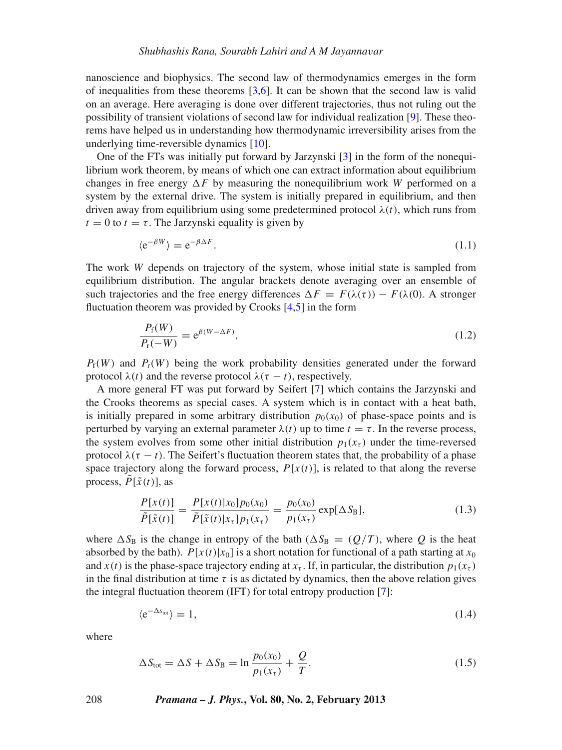nanoscience and biophysics. The second law of thermodynamics emerges in the form of inequalities from these theorems [\[3](#page-14-5)[,6\]](#page-14-6). It can be shown that the second law is valid on an average. Here averaging is done over different trajectories, thus not ruling out the possibility of transient violations of second law for individual realization [\[9](#page-14-7)]. These theorems have helped us in understanding how thermodynamic irreversibility arises from the underlying time-reversible dynamics [\[10\]](#page-14-8).

One of the FTs was initially put forward by Jarzynski [\[3](#page-14-5)] in the form of the nonequilibrium work theorem, by means of which one can extract information about equilibrium changes in free energy  $\Delta F$  by measuring the nonequilibrium work *W* performed on a system by the external drive. The system is initially prepared in equilibrium, and then driven away from equilibrium using some predetermined protocol  $\lambda(t)$ , which runs from  $t = 0$  to  $t = \tau$ . The Jarzynski equality is given by

$$
\langle e^{-\beta W} \rangle = e^{-\beta \Delta F}.\tag{1.1}
$$

The work *W* depends on trajectory of the system, whose initial state is sampled from equilibrium distribution. The angular brackets denote averaging over an ensemble of such trajectories and the free energy differences  $\Delta F = F(\lambda(\tau)) - F(\lambda(0)$ . A stronger fluctuation theorem was provided by Crooks [\[4](#page-14-3)[,5](#page-14-4)] in the form

$$
\frac{P_{\rm f}(W)}{P_{\rm r}(-W)} = \mathrm{e}^{\beta(W-\Delta F)},\tag{1.2}
$$

 $P_f(W)$  and  $P_f(W)$  being the work probability densities generated under the forward protocol  $\lambda(t)$  and the reverse protocol  $\lambda(\tau - t)$ , respectively.

A more general FT was put forward by Seifert [\[7\]](#page-14-1) which contains the Jarzynski and the Crooks theorems as special cases. A system which is in contact with a heat bath, is initially prepared in some arbitrary distribution  $p_0(x_0)$  of phase-space points and is perturbed by varying an external parameter  $\lambda(t)$  up to time  $t = \tau$ . In the reverse process, the system evolves from some other initial distribution  $p_1(x_\tau)$  under the time-reversed protocol  $\lambda(\tau - t)$ . The Seifert's fluctuation theorem states that, the probability of a phase space trajectory along the forward process,  $P[x(t)]$ , is related to that along the reverse process,  $\tilde{P}[\tilde{x}(t)]$ , as

$$
\frac{P[x(t)]}{\tilde{P}[\tilde{x}(t)]} = \frac{P[x(t)|x_0]p_0(x_0)}{\tilde{P}[\tilde{x}(t)|x_\tau]p_1(x_\tau)} = \frac{p_0(x_0)}{p_1(x_\tau)} \exp[\Delta S_B],\tag{1.3}
$$

where  $\Delta S_B$  is the change in entropy of the bath ( $\Delta S_B = (Q/T)$ , where Q is the heat absorbed by the bath).  $P[x(t)|x_0]$  is a short notation for functional of a path starting at  $x_0$ and *x*(*t*) is the phase-space trajectory ending at  $x<sub>\tau</sub>$ . If, in particular, the distribution  $p_1(x<sub>\tau</sub>)$ in the final distribution at time  $\tau$  is as dictated by dynamics, then the above relation gives the integral fluctuation theorem (IFT) for total entropy production [\[7\]](#page-14-1):

<span id="page-1-0"></span>
$$
\langle e^{-\Delta s_{\rm tot}} \rangle = 1,\tag{1.4}
$$

<span id="page-1-1"></span>where

$$
\Delta S_{\text{tot}} = \Delta S + \Delta S_{\text{B}} = \ln \frac{p_0(x_0)}{p_1(x_\tau)} + \frac{Q}{T}.
$$
\n(1.5)

208 *Pramana – J. Phys.***, Vol. 80, No. 2, February 2013**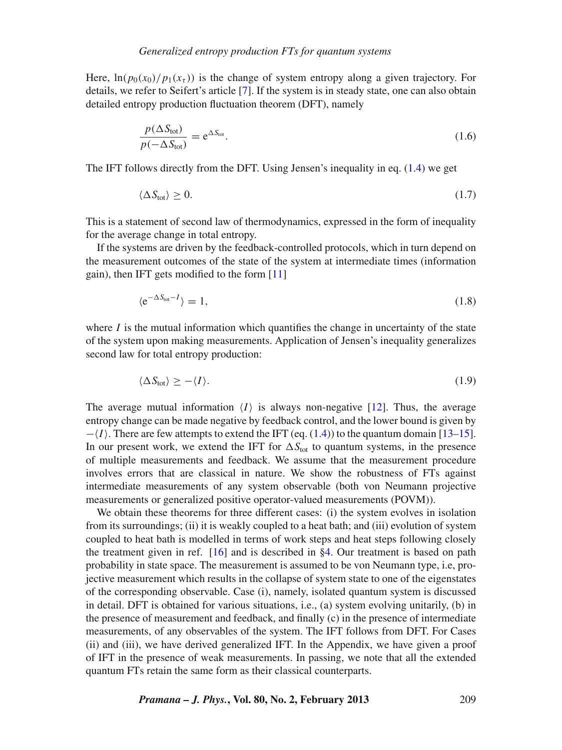Here,  $\ln(p_0(x_0)/p_1(x_0))$  is the change of system entropy along a given trajectory. For details, we refer to Seifert's article [\[7\]](#page-14-1). If the system is in steady state, one can also obtain detailed entropy production fluctuation theorem (DFT), namely

$$
\frac{p(\Delta S_{\text{tot}})}{p(-\Delta S_{\text{tot}})} = e^{\Delta S_{\text{tot}}}.
$$
\n(1.6)

The IFT follows directly from the DFT. Using Jensen's inequality in eq. [\(1.4\)](#page-1-0) we get

$$
\langle \Delta S_{\text{tot}} \rangle \ge 0. \tag{1.7}
$$

This is a statement of second law of thermodynamics, expressed in the form of inequality for the average change in total entropy.

If the systems are driven by the feedback-controlled protocols, which in turn depend on the measurement outcomes of the state of the system at intermediate times (information gain), then IFT gets modified to the form [\[11\]](#page-14-9)

<span id="page-2-0"></span>
$$
\langle e^{-\Delta S_{\text{tot}}-I} \rangle = 1, \tag{1.8}
$$

where  $I$  is the mutual information which quantifies the change in uncertainty of the state of the system upon making measurements. Application of Jensen's inequality generalizes second law for total entropy production:

<span id="page-2-1"></span>
$$
\langle \Delta S_{\text{tot}} \rangle \ge -\langle I \rangle. \tag{1.9}
$$

The average mutual information  $\langle I \rangle$  is always non-negative [\[12\]](#page-14-10). Thus, the average entropy change can be made negative by feedback control, and the lower bound is given by  $-(I)$ . There are few attempts to extend the IFT (eq. [\(1.4\)](#page-1-0)) to the quantum domain [\[13](#page-14-11)[–15](#page-14-12)]. In our present work, we extend the IFT for  $\Delta S_{\text{tot}}$  to quantum systems, in the presence of multiple measurements and feedback. We assume that the measurement procedure involves errors that are classical in nature. We show the robustness of FTs against intermediate measurements of any system observable (both von Neumann projective measurements or generalized positive operator-valued measurements (POVM)).

We obtain these theorems for three different cases: (i) the system evolves in isolation from its surroundings; (ii) it is weakly coupled to a heat bath; and (iii) evolution of system coupled to heat bath is modelled in terms of work steps and heat steps following closely the treatment given in ref. [\[16](#page-14-13)] and is described in [§4.](#page-9-0) Our treatment is based on path probability in state space. The measurement is assumed to be von Neumann type, i.e, projective measurement which results in the collapse of system state to one of the eigenstates of the corresponding observable. Case (i), namely, isolated quantum system is discussed in detail. DFT is obtained for various situations, i.e., (a) system evolving unitarily, (b) in the presence of measurement and feedback, and finally (c) in the presence of intermediate measurements, of any observables of the system. The IFT follows from DFT. For Cases (ii) and (iii), we have derived generalized IFT. In the Appendix, we have given a proof of IFT in the presence of weak measurements. In passing, we note that all the extended quantum FTs retain the same form as their classical counterparts.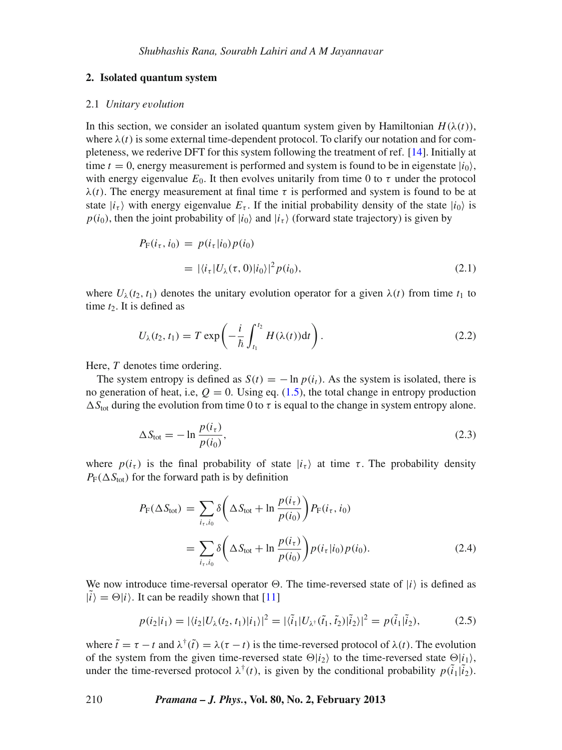#### <span id="page-3-3"></span>**2. Isolated quantum system**

#### 2.1 *Unitary e*v*olution*

In this section, we consider an isolated quantum system given by Hamiltonian  $H(\lambda(t))$ , where  $\lambda(t)$  is some external time-dependent protocol. To clarify our notation and for completeness, we rederive DFT for this system following the treatment of ref. [\[14](#page-14-14)]. Initially at time  $t = 0$ , energy measurement is performed and system is found to be in eigenstate  $|i_0\rangle$ , with energy eigenvalue  $E_0$ . It then evolves unitarily from time 0 to  $\tau$  under the protocol  $\lambda(t)$ . The energy measurement at final time  $\tau$  is performed and system is found to be at state  $|i_{\tau}\rangle$  with energy eigenvalue  $E_{\tau}$ . If the initial probability density of the state  $|i_{0}\rangle$  is  $p(i_0)$ , then the joint probability of  $|i_0\rangle$  and  $|i_\tau\rangle$  (forward state trajectory) is given by

$$
P_{\mathcal{F}}(i_{\tau}, i_0) = p(i_{\tau}|i_0)p(i_0)
$$
  
=  $|\langle i_{\tau}|U_{\lambda}(\tau, 0)|i_0\rangle|^2 p(i_0),$  (2.1)

where  $U_{\lambda}(t_2, t_1)$  denotes the unitary evolution operator for a given  $\lambda(t)$  from time  $t_1$  to time  $t_2$ . It is defined as

$$
U_{\lambda}(t_2, t_1) = T \exp\left(-\frac{i}{\hbar} \int_{t_1}^{t_2} H(\lambda(t)) \mathrm{d}t\right). \tag{2.2}
$$

Here, *T* denotes time ordering.

The system entropy is defined as  $S(t) = -\ln p(i_t)$ . As the system is isolated, there is no generation of heat, i.e,  $Q = 0$ . Using eq. [\(1.5\)](#page-1-1), the total change in entropy production  $\Delta S_{\text{tot}}$  during the evolution from time 0 to  $\tau$  is equal to the change in system entropy alone.

<span id="page-3-2"></span>
$$
\Delta S_{\text{tot}} = -\ln \frac{p(i_{\tau})}{p(i_0)},\tag{2.3}
$$

where  $p(i_\tau)$  is the final probability of state  $|i_\tau\rangle$  at time  $\tau$ . The probability density  $P_F(\Delta S_{\text{tot}})$  for the forward path is by definition

<span id="page-3-0"></span>
$$
P_{\rm F}(\Delta S_{\rm tot}) = \sum_{i_{\tau},i_0} \delta\left(\Delta S_{\rm tot} + \ln \frac{p(i_{\tau})}{p(i_0)}\right) P_{\rm F}(i_{\tau}, i_0)
$$

$$
= \sum_{i_{\tau},i_0} \delta\left(\Delta S_{\rm tot} + \ln \frac{p(i_{\tau})}{p(i_0)}\right) p(i_{\tau}|i_0) p(i_0). \tag{2.4}
$$

We now introduce time-reversal operator  $\Theta$ . The time-reversed state of  $|i\rangle$  is defined as  $|\tilde{i}\rangle = \Theta|i\rangle$ . It can be readily shown that [\[11](#page-14-9)]

<span id="page-3-1"></span>
$$
p(i_2|i_1) = |\langle i_2|U_\lambda(t_2, t_1)|i_1\rangle|^2 = |\langle \tilde{i}_1|U_{\lambda^\dagger}(\tilde{t}_1, \tilde{t}_2)|\tilde{i}_2\rangle|^2 = p(\tilde{i}_1|\tilde{i}_2),\tag{2.5}
$$

where  $\tilde{t} = \tau - t$  and  $\lambda^{\dagger}(\tilde{t}) = \lambda(\tau - t)$  is the time-reversed protocol of  $\lambda(t)$ . The evolution of the system from the given time-reversed state  $\Theta |i_2\rangle$  to the time-reversed state  $\Theta |i_1\rangle$ , under the time-reversed protocol  $\lambda^{\dagger}(t)$ , is given by the conditional probability  $p(\tilde{i}_1|\tilde{i}_2)$ .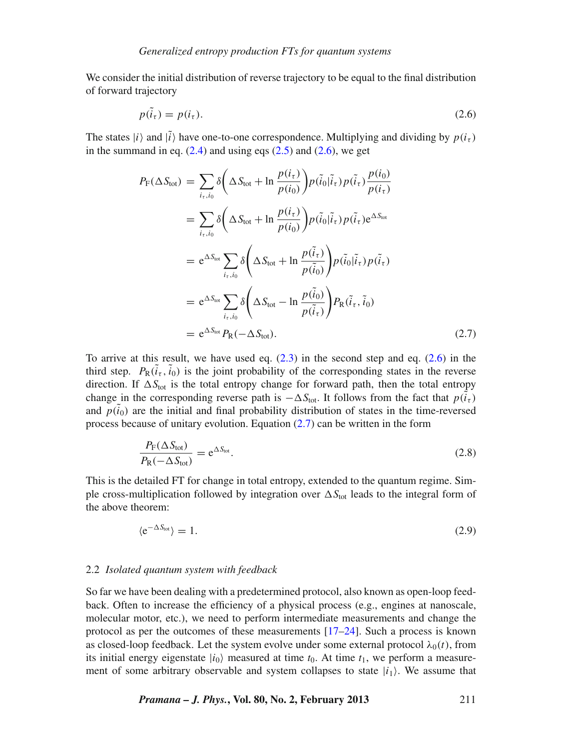We consider the initial distribution of reverse trajectory to be equal to the final distribution of forward trajectory

<span id="page-4-0"></span>
$$
p(\tilde{i}_{\tau}) = p(i_{\tau}).\tag{2.6}
$$

The states  $|i\rangle$  and  $|\tilde{i}\rangle$  have one-to-one correspondence. Multiplying and dividing by  $p(i_\tau)$ in the summand in eq.  $(2.4)$  and using eqs  $(2.5)$  and  $(2.6)$ , we get

<span id="page-4-1"></span>
$$
P_{\rm F}(\Delta S_{\rm tot}) = \sum_{i_{\tau},i_{0}} \delta \left( \Delta S_{\rm tot} + \ln \frac{p(i_{\tau})}{p(i_{0})} \right) p(\tilde{i}_{0}|\tilde{i}_{\tau}) p(\tilde{i}_{\tau}) \frac{p(i_{0})}{p(i_{\tau})}
$$
  
\n
$$
= \sum_{i_{\tau},i_{0}} \delta \left( \Delta S_{\rm tot} + \ln \frac{p(i_{\tau})}{p(i_{0})} \right) p(\tilde{i}_{0}|\tilde{i}_{\tau}) p(\tilde{i}_{\tau}) e^{\Delta S_{\rm tot}}
$$
  
\n
$$
= e^{\Delta S_{\rm tot}} \sum_{i_{\tau},i_{0}} \delta \left( \Delta S_{\rm tot} + \ln \frac{p(\tilde{i}_{\tau})}{p(\tilde{i}_{0})} \right) p(\tilde{i}_{0}|\tilde{i}_{\tau}) p(\tilde{i}_{\tau})
$$
  
\n
$$
= e^{\Delta S_{\rm tot}} \sum_{i_{\tau},i_{0}} \delta \left( \Delta S_{\rm tot} - \ln \frac{p(\tilde{i}_{0})}{p(\tilde{i}_{\tau})} \right) P_{\rm R}(\tilde{i}_{\tau}, \tilde{i}_{0})
$$
  
\n
$$
= e^{\Delta S_{\rm tot}} P_{\rm R}(-\Delta S_{\rm tot}). \tag{2.7}
$$

To arrive at this result, we have used eq. [\(2.3\)](#page-3-2) in the second step and eq. [\(2.6\)](#page-4-0) in the third step.  $P_{\rm R}(\tilde{i}_{\tau}, \tilde{i}_0)$  is the joint probability of the corresponding states in the reverse direction. If  $\Delta S_{\text{tot}}$  is the total entropy change for forward path, then the total entropy change in the corresponding reverse path is  $-\Delta S_{\text{tot}}$ . It follows from the fact that  $p(\tilde{i}_{\tau})$ and  $p(\tilde{i}_0)$  are the initial and final probability distribution of states in the time-reversed process because of unitary evolution. Equation [\(2.7\)](#page-4-1) can be written in the form

$$
\frac{P_{\rm F}(\Delta S_{\rm tot})}{P_{\rm R}(-\Delta S_{\rm tot})} = e^{\Delta S_{\rm tot}}.\tag{2.8}
$$

This is the detailed FT for change in total entropy, extended to the quantum regime. Simple cross-multiplication followed by integration over  $\Delta S_{\text{tot}}$  leads to the integral form of the above theorem:

$$
\langle e^{-\Delta S_{\text{tot}}}\rangle = 1. \tag{2.9}
$$

## <span id="page-4-2"></span>2.2 *Isolated quantum system with feedback*

So far we have been dealing with a predetermined protocol, also known as open-loop feedback. Often to increase the efficiency of a physical process (e.g., engines at nanoscale, molecular motor, etc.), we need to perform intermediate measurements and change the protocol as per the outcomes of these measurements [\[17](#page-14-15)[–24](#page-15-0)]. Such a process is known as closed-loop feedback. Let the system evolve under some external protocol  $\lambda_0(t)$ , from its initial energy eigenstate  $|i_0\rangle$  measured at time  $t_0$ . At time  $t_1$ , we perform a measurement of some arbitrary observable and system collapses to state  $|i_1\rangle$ . We assume that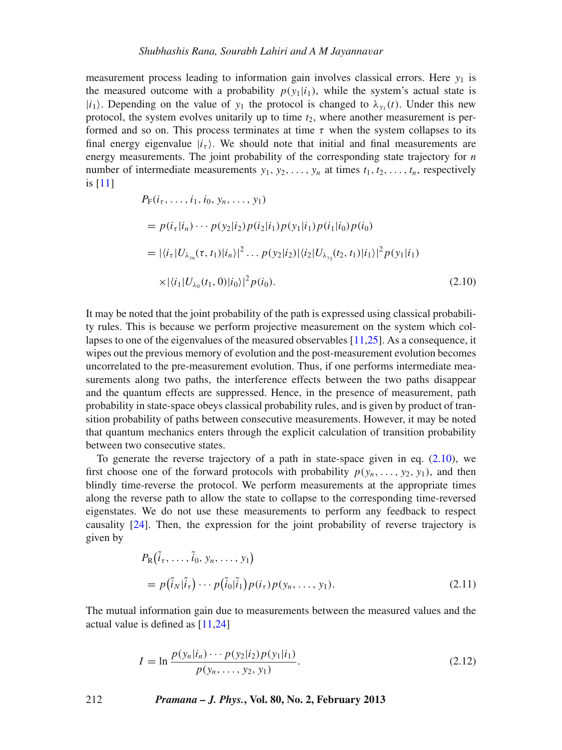measurement process leading to information gain involves classical errors. Here  $y_1$  is the measured outcome with a probability  $p(y_1|i_1)$ , while the system's actual state is  $|i_1\rangle$ . Depending on the value of  $y_1$  the protocol is changed to  $\lambda_{y_1}(t)$ . Under this new protocol, the system evolves unitarily up to time  $t_2$ , where another measurement is performed and so on. This process terminates at time  $\tau$  when the system collapses to its final energy eigenvalue  $|i_{\tau}$ . We should note that initial and final measurements are energy measurements. The joint probability of the corresponding state trajectory for *n* number of intermediate measurements  $y_1, y_2, \ldots, y_n$  at times  $t_1, t_2, \ldots, t_n$ , respectively is [\[11](#page-14-9)]

<span id="page-5-0"></span>
$$
P_{\mathcal{F}}(i_{\tau}, \dots, i_1, i_0, y_n, \dots, y_1)
$$
  
=  $p(i_{\tau}|i_n) \cdots p(y_2|i_2) p(i_2|i_1) p(y_1|i_1) p(i_1|i_0) p(i_0)$   
=  $|\langle i_{\tau}| U_{\lambda_{y_n}}(\tau, t_1)|i_n\rangle|^2 \cdots p(y_2|i_2)|\langle i_2| U_{\lambda_{y_1}}(t_2, t_1)|i_1\rangle|^2 p(y_1|i_1)$   
 $\times |\langle i_1| U_{\lambda_0}(t_1, 0)|i_0\rangle|^2 p(i_0).$  (2.10)

It may be noted that the joint probability of the path is expressed using classical probability rules. This is because we perform projective measurement on the system which collapses to one of the eigenvalues of the measured observables [\[11](#page-14-9)[,25\]](#page-15-1). As a consequence, it wipes out the previous memory of evolution and the post-measurement evolution becomes uncorrelated to the pre-measurement evolution. Thus, if one performs intermediate measurements along two paths, the interference effects between the two paths disappear and the quantum effects are suppressed. Hence, in the presence of measurement, path probability in state-space obeys classical probability rules, and is given by product of transition probability of paths between consecutive measurements. However, it may be noted that quantum mechanics enters through the explicit calculation of transition probability between two consecutive states.

To generate the reverse trajectory of a path in state-space given in eq.  $(2.10)$ , we first choose one of the forward protocols with probability  $p(y_n, \ldots, y_2, y_1)$ , and then blindly time-reverse the protocol. We perform measurements at the appropriate times along the reverse path to allow the state to collapse to the corresponding time-reversed eigenstates. We do not use these measurements to perform any feedback to respect causality [\[24](#page-15-0)]. Then, the expression for the joint probability of reverse trajectory is given by

<span id="page-5-1"></span>
$$
P_{\mathcal{R}}(\tilde{i}_{\tau}, \dots, \tilde{i}_{0}, y_{n}, \dots, y_{1})
$$
  
=  $p(\tilde{i}_{N}|\tilde{i}_{\tau}) \cdots p(\tilde{i}_{0}|\tilde{i}_{1}) p(i_{\tau}) p(y_{n}, \dots, y_{1}).$  (2.11)

The mutual information gain due to measurements between the measured values and the actual value is defined as  $[11,24]$  $[11,24]$ 

<span id="page-5-2"></span>
$$
I = \ln \frac{p(y_n|i_n)\cdots p(y_2|i_2)p(y_1|i_1)}{p(y_n,\ldots,y_2,y_1)}.
$$
\n(2.12)

212 *Pramana – J. Phys.***, Vol. 80, No. 2, February 2013**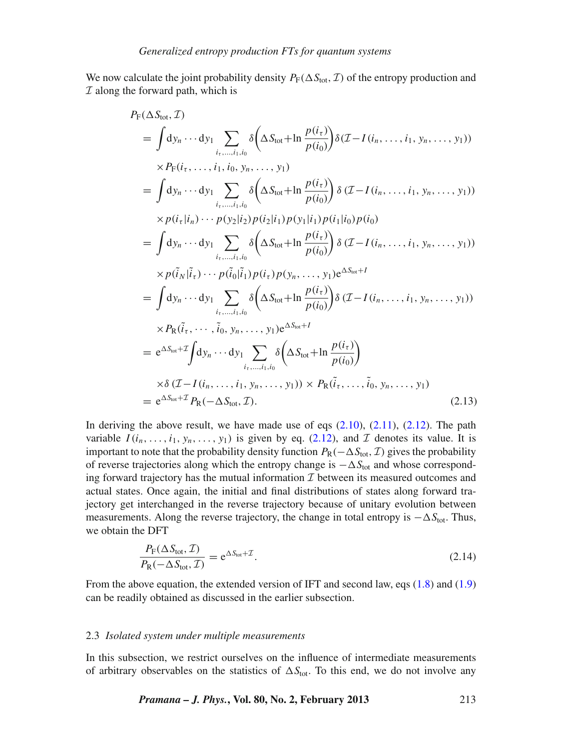We now calculate the joint probability density  $P_F(\Delta S_{\text{tot}}, \mathcal{I})$  of the entropy production and  $I$  along the forward path, which is

$$
P_{F}(\Delta S_{tot}, \mathcal{I})
$$
\n
$$
= \int dy_{n} \cdots dy_{1} \sum_{i_{\tau}, \dots, i_{1}, i_{0}} \delta \left( \Delta S_{tot} + \ln \frac{p(i_{\tau})}{p(i_{0})} \right) \delta(\mathcal{I} - I(i_{n}, \dots, i_{1}, y_{n}, \dots, y_{1}))
$$
\n
$$
\times P_{F}(i_{\tau}, \dots, i_{1}, i_{0}, y_{n}, \dots, y_{1})
$$
\n
$$
= \int dy_{n} \cdots dy_{1} \sum_{i_{\tau}, \dots, i_{1}, i_{0}} \delta \left( \Delta S_{tot} + \ln \frac{p(i_{\tau})}{p(i_{0})} \right) \delta(\mathcal{I} - I(i_{n}, \dots, i_{1}, y_{n}, \dots, y_{1}))
$$
\n
$$
\times p(i_{\tau}|i_{n}) \cdots p(y_{2}|i_{2}) p(i_{2}|i_{1}) p(y_{1}|i_{1}) p(i_{1}|i_{0}) p(i_{0})
$$
\n
$$
= \int dy_{n} \cdots dy_{1} \sum_{i_{\tau}, \dots, i_{1}, i_{0}} \delta \left( \Delta S_{tot} + \ln \frac{p(i_{\tau})}{p(i_{0})} \right) \delta(\mathcal{I} - I(i_{n}, \dots, i_{1}, y_{n}, \dots, y_{1}))
$$
\n
$$
\times p(\tilde{i}_{N}|\tilde{i}_{\tau}) \cdots p(\tilde{i}_{0}|\tilde{i}_{1}) p(i_{\tau}) p(y_{n}, \dots, y_{1}) e^{\Delta S_{tot} + I}
$$
\n
$$
= \int dy_{n} \cdots dy_{1} \sum_{i_{\tau}, \dots, i_{1}, i_{0}} \delta \left( \Delta S_{tot} + \ln \frac{p(i_{\tau})}{p(i_{0})} \right) \delta(\mathcal{I} - I(i_{n}, \dots, i_{1}, y_{n}, \dots, y_{1}))
$$
\n
$$
\times P_{R}(\tilde{i}_{\tau}, \dots, \tilde{i}_{0}, y_{n}, \dots, y_{1}) e^{\Delta S_{tot} + I}
$$
\n
$$
= e^{\Delta S_{tot} + \mathcal{I}} \int dy_{n} \cdots dy_{1} \sum_{i_{\tau}, \dots, i_{1}, i_{0}} \delta \left( \Delta S_{tot} + \ln \frac{p(i
$$

In deriving the above result, we have made use of eqs  $(2.10)$ ,  $(2.11)$ ,  $(2.12)$ . The path variable  $I(i_n, \ldots, i_1, y_n, \ldots, y_1)$  is given by eq. [\(2.12\)](#page-5-2), and  $\mathcal I$  denotes its value. It is important to note that the probability density function  $P_R(-\Delta S_{tot}, \mathcal{I})$  gives the probability of reverse trajectories along which the entropy change is  $-\Delta S_{\text{tot}}$  and whose corresponding forward trajectory has the mutual information  $\mathcal I$  between its measured outcomes and actual states. Once again, the initial and final distributions of states along forward trajectory get interchanged in the reverse trajectory because of unitary evolution between measurements. Along the reverse trajectory, the change in total entropy is  $-\Delta S_{\text{tot}}$ . Thus, we obtain the DFT

$$
\frac{P_{\rm F}(\Delta S_{\rm tot}, T)}{P_{\rm R}(-\Delta S_{\rm tot}, T)} = e^{\Delta S_{\rm tot} + T}.
$$
\n(2.14)

From the above equation, the extended version of IFT and second law, eqs  $(1.8)$  and  $(1.9)$ can be readily obtained as discussed in the earlier subsection.

## 2.3 *Isolated system under multiple measurements*

In this subsection, we restrict ourselves on the influence of intermediate measurements of arbitrary observables on the statistics of  $\Delta S_{\text{tot}}$ . To this end, we do not involve any

*Pramana – J. Phys.***, Vol. 80, No. 2, February 2013** 213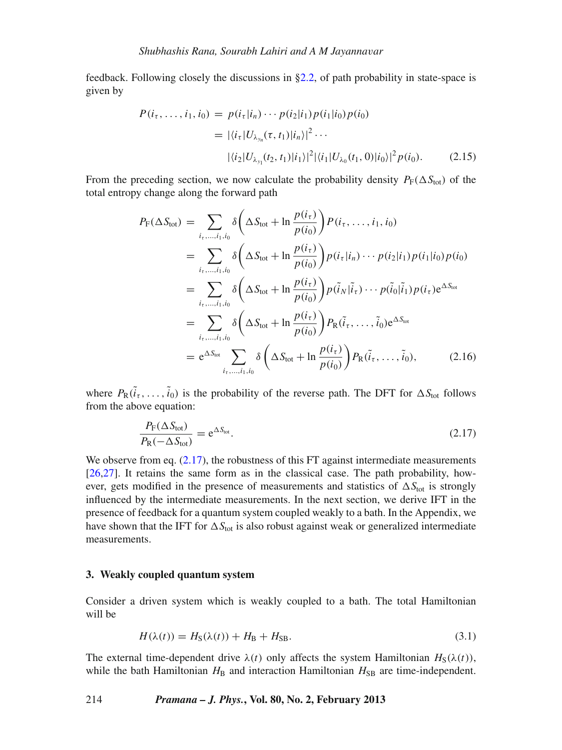feedback. Following closely the discussions in [§2.2,](#page-4-2) of path probability in state-space is given by

$$
P(i_{\tau},...,i_{1},i_{0}) = p(i_{\tau}|i_{n}) \cdots p(i_{2}|i_{1})p(i_{1}|i_{0})p(i_{0})
$$
  

$$
= |\langle i_{\tau}|U_{\lambda_{y_{n}}}(\tau, t_{1})|i_{n}\rangle|^{2} \cdots
$$
  

$$
|\langle i_{2}|U_{\lambda_{y_{1}}}(t_{2}, t_{1})|i_{1}\rangle|^{2} |\langle i_{1}|U_{\lambda_{0}}(t_{1}, 0)|i_{0}\rangle|^{2} p(i_{0}). \qquad (2.15)
$$

From the preceding section, we now calculate the probability density  $P_F(\Delta S_{\text{tot}})$  of the total entropy change along the forward path

$$
P_{\rm F}(\Delta S_{\rm tot}) = \sum_{i_{\tau},\dots,i_{1},i_{0}} \delta\left(\Delta S_{\rm tot} + \ln \frac{p(i_{\tau})}{p(i_{0})}\right) P(i_{\tau},\dots,i_{1},i_{0})
$$
  
\n
$$
= \sum_{i_{\tau},\dots,i_{1},i_{0}} \delta\left(\Delta S_{\rm tot} + \ln \frac{p(i_{\tau})}{p(i_{0})}\right) p(i_{\tau}|i_{n}) \cdots p(i_{2}|i_{1}) p(i_{1}|i_{0}) p(i_{0})
$$
  
\n
$$
= \sum_{i_{\tau},\dots,i_{1},i_{0}} \delta\left(\Delta S_{\rm tot} + \ln \frac{p(i_{\tau})}{p(i_{0})}\right) p(\tilde{i}_{N}|\tilde{i}_{\tau}) \cdots p(\tilde{i}_{0}|\tilde{i}_{1}) p(i_{\tau}) e^{\Delta S_{\rm tot}}
$$
  
\n
$$
= \sum_{i_{\tau},\dots,i_{1},i_{0}} \delta\left(\Delta S_{\rm tot} + \ln \frac{p(i_{\tau})}{p(i_{0})}\right) P_{\rm R}(\tilde{i}_{\tau},\dots,\tilde{i}_{0}) e^{\Delta S_{\rm tot}}
$$
  
\n
$$
= e^{\Delta S_{\rm tot}} \sum_{i_{\tau},\dots,i_{1},i_{0}} \delta\left(\Delta S_{\rm tot} + \ln \frac{p(i_{\tau})}{p(i_{0})}\right) P_{\rm R}(\tilde{i}_{\tau},\dots,\tilde{i}_{0}), \qquad (2.16)
$$

where  $P_R(\tilde{i}_\tau, \ldots, \tilde{i}_0)$  is the probability of the reverse path. The DFT for  $\Delta S_{\text{tot}}$  follows from the above equation:

<span id="page-7-0"></span>
$$
\frac{P_{\rm F}(\Delta S_{\rm tot})}{P_{\rm R}(-\Delta S_{\rm tot})} = e^{\Delta S_{\rm tot}}.\tag{2.17}
$$

We observe from eq.  $(2.17)$ , the robustness of this FT against intermediate measurements [\[26](#page-15-2)[,27\]](#page-15-3). It retains the same form as in the classical case. The path probability, however, gets modified in the presence of measurements and statistics of  $\Delta S_{\text{tot}}$  is strongly influenced by the intermediate measurements. In the next section, we derive IFT in the presence of feedback for a quantum system coupled weakly to a bath. In the Appendix, we have shown that the IFT for  $\Delta S_{\text{tot}}$  is also robust against weak or generalized intermediate measurements.

## **3. Weakly coupled quantum system**

Consider a driven system which is weakly coupled to a bath. The total Hamiltonian will be

$$
H(\lambda(t)) = H_{\rm S}(\lambda(t)) + H_{\rm B} + H_{\rm SB}.
$$
\n(3.1)

The external time-dependent drive  $\lambda(t)$  only affects the system Hamiltonian  $H_S(\lambda(t))$ , while the bath Hamiltonian  $H_B$  and interaction Hamiltonian  $H_{SB}$  are time-independent.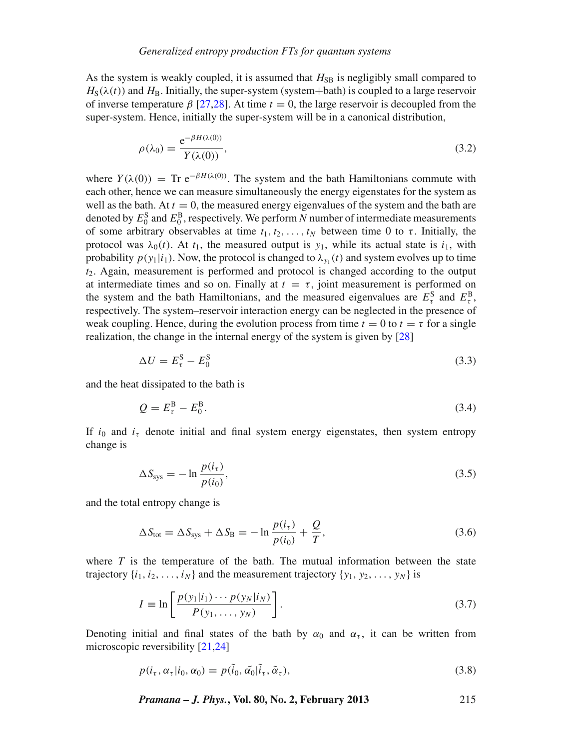As the system is weakly coupled, it is assumed that  $H_{\rm SR}$  is negligibly small compared to  $H_S(\lambda(t))$  and  $H_B$ . Initially, the super-system (system+bath) is coupled to a large reservoir of inverse temperature  $\beta$  [\[27](#page-15-3)[,28\]](#page-15-4). At time  $t = 0$ , the large reservoir is decoupled from the super-system. Hence, initially the super-system will be in a canonical distribution,

$$
\rho(\lambda_0) = \frac{e^{-\beta H(\lambda(0))}}{Y(\lambda(0))},\tag{3.2}
$$

where  $Y(\lambda(0)) = \text{Tr } e^{-\beta H(\lambda(0))}$ . The system and the bath Hamiltonians commute with each other, hence we can measure simultaneously the energy eigenstates for the system as well as the bath. At  $t = 0$ , the measured energy eigenvalues of the system and the bath are denoted by  $E_0^S$  and  $E_0^B$ , respectively. We perform *N* number of intermediate measurements of some arbitrary observables at time  $t_1, t_2, \ldots, t_N$  between time 0 to  $\tau$ . Initially, the protocol was  $\lambda_0(t)$ . At  $t_1$ , the measured output is  $y_1$ , while its actual state is  $i_1$ , with probability  $p(y_1|i_1)$ . Now, the protocol is changed to  $\lambda_{y_1}(t)$  and system evolves up to time *t*2. Again, measurement is performed and protocol is changed according to the output at intermediate times and so on. Finally at  $t = \tau$ , joint measurement is performed on the system and the bath Hamiltonians, and the measured eigenvalues are  $E_{\tau}^{\rm S}$  and  $E_{\tau}^{\rm B}$ , respectively. The system–reservoir interaction energy can be neglected in the presence of weak coupling. Hence, during the evolution process from time  $t = 0$  to  $t = \tau$  for a single realization, the change in the internal energy of the system is given by [\[28](#page-15-4)]

$$
\Delta U = E_{\tau}^{\rm S} - E_0^{\rm S} \tag{3.3}
$$

and the heat dissipated to the bath is

$$
Q = E_{\tau}^{\mathcal{B}} - E_0^{\mathcal{B}}.
$$
\n
$$
(3.4)
$$

If  $i_0$  and  $i_\tau$  denote initial and final system energy eigenstates, then system entropy change is

$$
\Delta S_{\rm sys} = -\ln \frac{p(i_{\tau})}{p(i_0)},\tag{3.5}
$$

and the total entropy change is

$$
\Delta S_{\text{tot}} = \Delta S_{\text{sys}} + \Delta S_{\text{B}} = -\ln \frac{p(i_{\tau})}{p(i_0)} + \frac{Q}{T},\tag{3.6}
$$

where *T* is the temperature of the bath. The mutual information between the state trajectory  $\{i_1, i_2, \ldots, i_N\}$  and the measurement trajectory  $\{y_1, y_2, \ldots, y_N\}$  is

$$
I = \ln \left[ \frac{p(y_1|i_1)\cdots p(y_N|i_N)}{P(y_1,\ldots,y_N)} \right].
$$
\n(3.7)

Denoting initial and final states of the bath by  $\alpha_0$  and  $\alpha_{\tau}$ , it can be written from microscopic reversibility [\[21](#page-15-5)[,24](#page-15-0)]

<span id="page-8-0"></span>
$$
p(i_{\tau}, \alpha_{\tau} | i_0, \alpha_0) = p(\tilde{i}_0, \tilde{\alpha_0} | \tilde{i}_{\tau}, \tilde{\alpha}_{\tau}),
$$
\n(3.8)

*Pramana – J. Phys.***, Vol. 80, No. 2, February 2013** 215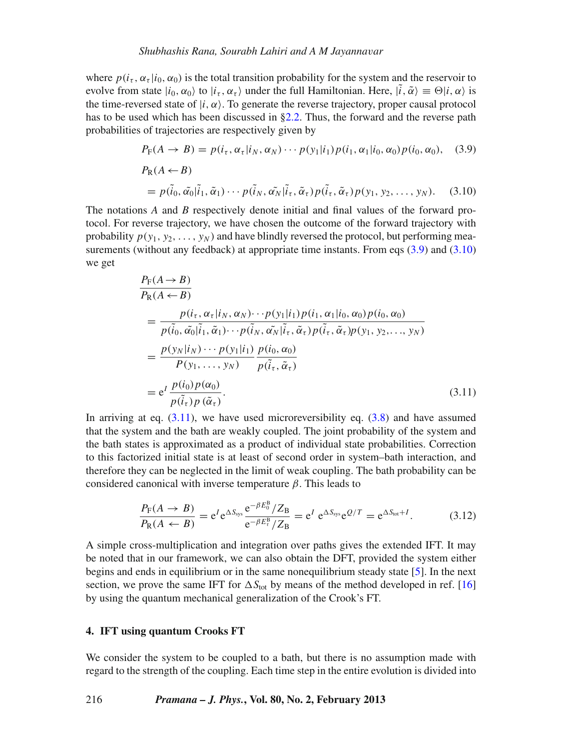#### *Shubhashis Rana, Sourabh Lahiri and A M Jayanna*v*ar*

where  $p(i_\tau, \alpha_\tau | i_0, \alpha_0)$  is the total transition probability for the system and the reservoir to evolve from state  $|i_0, \alpha_0 \rangle$  to  $|i_\tau, \alpha_\tau \rangle$  under the full Hamiltonian. Here,  $|\tilde{i}, \tilde{\alpha} \rangle \equiv \Theta | i, \alpha \rangle$  is the time-reversed state of  $|i, \alpha\rangle$ . To generate the reverse trajectory, proper causal protocol has to be used which has been discussed in  $\S2.2$ . Thus, the forward and the reverse path probabilities of trajectories are respectively given by

<span id="page-9-1"></span>
$$
P_{\mathcal{F}}(A \to B) = p(i_{\tau}, \alpha_{\tau} | i_N, \alpha_N) \cdots p(y_1 | i_1) p(i_1, \alpha_1 | i_0, \alpha_0) p(i_0, \alpha_0), \quad (3.9)
$$
  
\n
$$
P_{\mathcal{R}}(A \leftarrow B)
$$
  
\n
$$
= p(\tilde{i}_0, \tilde{\alpha}_0 | \tilde{i}_1, \tilde{\alpha}_1) \cdots p(\tilde{i}_N, \tilde{\alpha}_N | \tilde{i}_\tau, \tilde{\alpha}_\tau) p(\tilde{i}_\tau, \tilde{\alpha}_\tau) p(y_1, y_2, \dots, y_N).
$$
 (3.10)

The notations *A* and *B* respectively denote initial and final values of the forward protocol. For reverse trajectory, we have chosen the outcome of the forward trajectory with probability  $p(y_1, y_2, \ldots, y_N)$  and have blindly reversed the protocol, but performing measurements (without any feedback) at appropriate time instants. From eqs  $(3.9)$  and  $(3.10)$ we get

<span id="page-9-2"></span>
$$
\frac{P_{\rm F}(A \to B)}{P_{\rm R}(A \leftarrow B)} \n= \frac{p(i_{\tau}, \alpha_{\tau}|i_{N}, \alpha_{N}) \cdots p(y_{1}|i_{1}) p(i_{1}, \alpha_{1}|i_{0}, \alpha_{0}) p(i_{0}, \alpha_{0})}{p(\tilde{i}_{0}, \tilde{\alpha}_{0}|\tilde{i}_{1}, \tilde{\alpha}_{1}) \cdots p(\tilde{i}_{N}, \tilde{\alpha}_{N}|\tilde{i}_{\tau}, \tilde{\alpha}_{\tau}) p(\tilde{i}_{\tau}, \tilde{\alpha}_{\tau}) p(y_{1}, y_{2}, \ldots, y_{N})} \n= \frac{p(y_{N}|i_{N}) \cdots p(y_{1}|i_{1}) p(i_{0}, \alpha_{0})}{P(y_{1}, \ldots, y_{N}) p(\tilde{i}_{\tau}, \tilde{\alpha}_{\tau})} \n= e^{I} \frac{p(i_{0}) p(\alpha_{0})}{p(\tilde{i}_{\tau}) p(\tilde{\alpha}_{\tau})}.
$$
\n(3.11)

In arriving at eq.  $(3.11)$ , we have used microreversibility eq.  $(3.8)$  and have assumed that the system and the bath are weakly coupled. The joint probability of the system and the bath states is approximated as a product of individual state probabilities. Correction to this factorized initial state is at least of second order in system–bath interaction, and therefore they can be neglected in the limit of weak coupling. The bath probability can be considered canonical with inverse temperature  $\beta$ . This leads to

$$
\frac{P_{\rm F}(A \to B)}{P_{\rm R}(A \leftarrow B)} = e^I e^{\Delta S_{\rm sys}} \frac{e^{-\beta E_0^{\rm B}}/Z_{\rm B}}{e^{-\beta E_{\rm r}^{\rm B}}/Z_{\rm B}} = e^I e^{\Delta S_{\rm sys}} e^{Q/T} = e^{\Delta S_{\rm tot} + I}.
$$
(3.12)

A simple cross-multiplication and integration over paths gives the extended IFT. It may be noted that in our framework, we can also obtain the DFT, provided the system either begins and ends in equilibrium or in the same nonequilibrium steady state [\[5\]](#page-14-4). In the next section, we prove the same IFT for  $\Delta S_{\text{tot}}$  by means of the method developed in ref. [\[16\]](#page-14-13) by using the quantum mechanical generalization of the Crook's FT.

## <span id="page-9-0"></span>**4. IFT using quantum Crooks FT**

We consider the system to be coupled to a bath, but there is no assumption made with regard to the strength of the coupling. Each time step in the entire evolution is divided into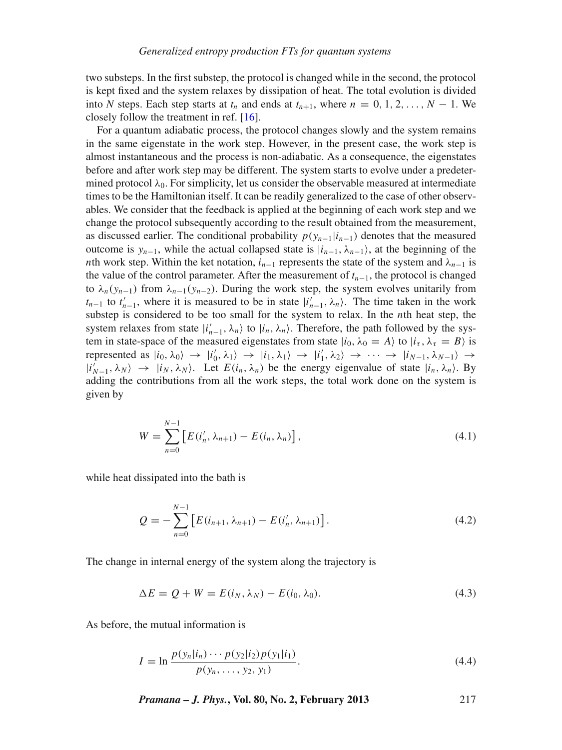two substeps. In the first substep, the protocol is changed while in the second, the protocol is kept fixed and the system relaxes by dissipation of heat. The total evolution is divided into *N* steps. Each step starts at  $t_n$  and ends at  $t_{n+1}$ , where  $n = 0, 1, 2, ..., N - 1$ . We closely follow the treatment in ref. [\[16](#page-14-13)].

For a quantum adiabatic process, the protocol changes slowly and the system remains in the same eigenstate in the work step. However, in the present case, the work step is almost instantaneous and the process is non-adiabatic. As a consequence, the eigenstates before and after work step may be different. The system starts to evolve under a predetermined protocol  $\lambda_0$ . For simplicity, let us consider the observable measured at intermediate times to be the Hamiltonian itself. It can be readily generalized to the case of other observables. We consider that the feedback is applied at the beginning of each work step and we change the protocol subsequently according to the result obtained from the measurement, as discussed earlier. The conditional probability *p*(*yn*<sup>−</sup>1|*in*<sup>−</sup>1) denotes that the measured outcome is  $y_{n-1}$ , while the actual collapsed state is  $|i_{n-1}, \lambda_{n-1}\rangle$ , at the beginning of the *n*th work step. Within the ket notation,  $i_{n-1}$  represents the state of the system and  $\lambda_{n-1}$  is the value of the control parameter. After the measurement of *tn*−1, the protocol is changed to  $\lambda_n(y_{n-1})$  from  $\lambda_{n-1}(y_{n-2})$ . During the work step, the system evolves unitarily from  $t_{n-1}$  to  $t'_{n-1}$ , where it is measured to be in state  $|i'_{n-1}, \lambda_n\rangle$ . The time taken in the work substep is considered to be too small for the system to relax. In the *n*th heat step, the system relaxes from state  $|i'_{n-1}, \lambda_n\rangle$  to  $|i_n, \lambda_n\rangle$ . Therefore, the path followed by the system in state-space of the measured eigenstates from state  $|i_0, \lambda_0 = A \rangle$  to  $|i_{\tau}, \lambda_{\tau} = B \rangle$  is represented as  $|i_0, \lambda_0\rangle \rightarrow |i'_0, \lambda_1\rangle \rightarrow |i_1, \lambda_1\rangle \rightarrow |i'_1, \lambda_2\rangle \rightarrow \cdots \rightarrow |i_{N-1}, \lambda_{N-1}\rangle \rightarrow$  $|i'_{N-1}, \lambda_N\rangle \rightarrow |i_N, \lambda_N\rangle$ . Let  $E(i_n, \lambda_n)$  be the energy eigenvalue of state  $|i_n, \lambda_n\rangle$ . By adding the contributions from all the work steps, the total work done on the system is given by

$$
W = \sum_{n=0}^{N-1} \left[ E(i'_n, \lambda_{n+1}) - E(i_n, \lambda_n) \right],
$$
\n(4.1)

while heat dissipated into the bath is

<span id="page-10-0"></span>
$$
Q = -\sum_{n=0}^{N-1} \left[ E(i_{n+1}, \lambda_{n+1}) - E(i'_n, \lambda_{n+1}) \right]. \tag{4.2}
$$

The change in internal energy of the system along the trajectory is

$$
\Delta E = Q + W = E(i_N, \lambda_N) - E(i_0, \lambda_0). \tag{4.3}
$$

As before, the mutual information is

<span id="page-10-1"></span>
$$
I = \ln \frac{p(y_n|i_n)\cdots p(y_2|i_2)p(y_1|i_1)}{p(y_n,\ldots,y_2,y_1)}.
$$
\n(4.4)

*Pramana – J. Phys.***, Vol. 80, No. 2, February 2013** 217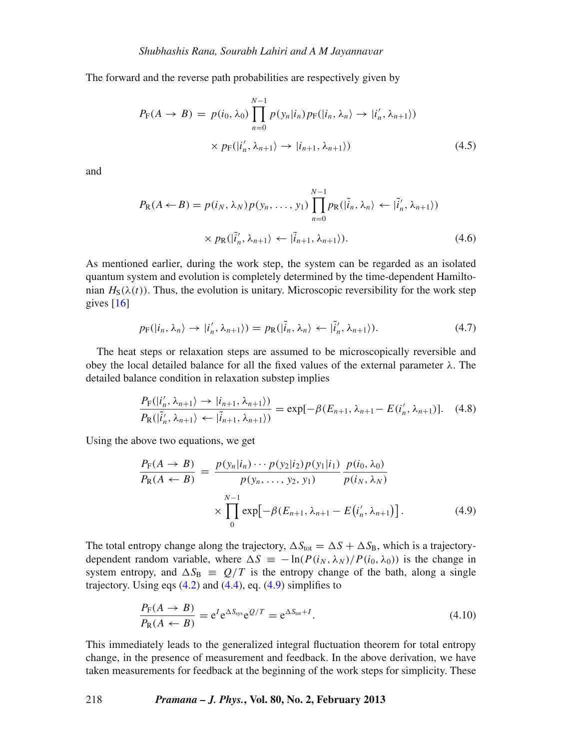The forward and the reverse path probabilities are respectively given by

$$
P_{\mathcal{F}}(A \to B) = p(i_0, \lambda_0) \prod_{n=0}^{N-1} p(y_n|i_n) p_{\mathcal{F}}(|i_n, \lambda_n\rangle \to |i'_n, \lambda_{n+1}\rangle)
$$
  
 
$$
\times p_{\mathcal{F}}(|i'_n, \lambda_{n+1}\rangle \to |i_{n+1}, \lambda_{n+1}\rangle)
$$
(4.5)

and

$$
P_{\mathcal{R}}(A \leftarrow B) = p(i_N, \lambda_N) p(y_n, \dots, y_1) \prod_{n=0}^{N-1} p_{\mathcal{R}}(|\tilde{i}_n, \lambda_n\rangle \leftarrow |\tilde{i}'_n, \lambda_{n+1}\rangle) \times p_{\mathcal{R}}(|\tilde{i}'_n, \lambda_{n+1}\rangle \leftarrow |\tilde{i}_{n+1}, \lambda_{n+1}\rangle). \tag{4.6}
$$

As mentioned earlier, during the work step, the system can be regarded as an isolated quantum system and evolution is completely determined by the time-dependent Hamiltonian  $H_S(\lambda(t))$ . Thus, the evolution is unitary. Microscopic reversibility for the work step gives  $[16]$  $[16]$ 

$$
p_{\mathcal{F}}(|i_n, \lambda_n\rangle \to |i'_n, \lambda_{n+1}\rangle) = p_{\mathcal{R}}(|\tilde{i}_n, \lambda_n\rangle \leftarrow |\tilde{i}'_n, \lambda_{n+1}\rangle). \tag{4.7}
$$

The heat steps or relaxation steps are assumed to be microscopically reversible and obey the local detailed balance for all the fixed values of the external parameter  $λ$ . The detailed balance condition in relaxation substep implies

$$
\frac{P_{\mathrm{F}}(|i'_n,\lambda_{n+1}\rangle \to |i_{n+1},\lambda_{n+1}\rangle)}{P_{\mathrm{R}}(|\tilde{i}'_n,\lambda_{n+1}\rangle \leftarrow |\tilde{i}_{n+1},\lambda_{n+1}\rangle)} = \exp[-\beta(E_{n+1},\lambda_{n+1}-E(i'_n,\lambda_{n+1})]. \quad (4.8)
$$

Using the above two equations, we get

<span id="page-11-0"></span>
$$
\frac{P_{\rm F}(A \to B)}{P_{\rm R}(A \leftarrow B)} = \frac{p(y_n|i_n) \cdots p(y_2|i_2) p(y_1|i_1)}{p(y_n, \ldots, y_2, y_1)} \frac{p(i_0, \lambda_0)}{p(i_N, \lambda_N)} \times \prod_{0}^{N-1} \exp[-\beta(E_{n+1}, \lambda_{n+1} - E(i'_n, \lambda_{n+1})]. \tag{4.9}
$$

The total entropy change along the trajectory,  $\Delta S_{\text{tot}} = \Delta S + \Delta S_{\text{B}}$ , which is a trajectorydependent random variable, where  $\Delta S = -\ln(P(i_N, \lambda_N)/P(i_0, \lambda_0))$  is the change in system entropy, and  $\Delta S_B \equiv Q/T$  is the entropy change of the bath, along a single trajectory. Using eqs  $(4.2)$  and  $(4.4)$ , eq.  $(4.9)$  simplifies to

$$
\frac{P_{\rm F}(A \to B)}{P_{\rm R}(A \leftarrow B)} = e^I e^{\Delta S_{\rm sys}} e^{Q/T} = e^{\Delta S_{\rm tot} + I}.
$$
\n(4.10)

This immediately leads to the generalized integral fluctuation theorem for total entropy change, in the presence of measurement and feedback. In the above derivation, we have taken measurements for feedback at the beginning of the work steps for simplicity. These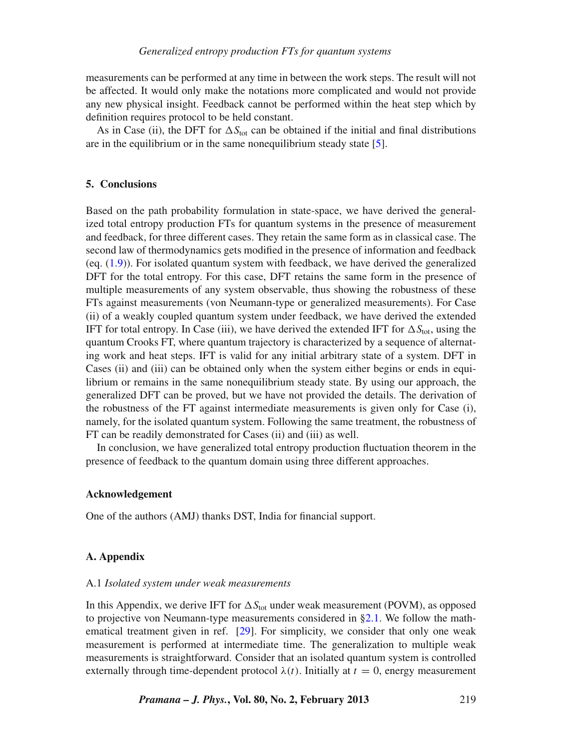measurements can be performed at any time in between the work steps. The result will not be affected. It would only make the notations more complicated and would not provide any new physical insight. Feedback cannot be performed within the heat step which by definition requires protocol to be held constant.

As in Case (ii), the DFT for  $\Delta S_{\text{tot}}$  can be obtained if the initial and final distributions are in the equilibrium or in the same nonequilibrium steady state [\[5](#page-14-4)].

## **5. Conclusions**

Based on the path probability formulation in state-space, we have derived the generalized total entropy production FTs for quantum systems in the presence of measurement and feedback, for three different cases. They retain the same form as in classical case. The second law of thermodynamics gets modified in the presence of information and feedback (eq. [\(1.9\)](#page-2-1)). For isolated quantum system with feedback, we have derived the generalized DFT for the total entropy. For this case, DFT retains the same form in the presence of multiple measurements of any system observable, thus showing the robustness of these FTs against measurements (von Neumann-type or generalized measurements). For Case (ii) of a weakly coupled quantum system under feedback, we have derived the extended IFT for total entropy. In Case (iii), we have derived the extended IFT for  $\Delta S_{\text{tot}}$ , using the quantum Crooks FT, where quantum trajectory is characterized by a sequence of alternating work and heat steps. IFT is valid for any initial arbitrary state of a system. DFT in Cases (ii) and (iii) can be obtained only when the system either begins or ends in equilibrium or remains in the same nonequilibrium steady state. By using our approach, the generalized DFT can be proved, but we have not provided the details. The derivation of the robustness of the FT against intermediate measurements is given only for Case (i), namely, for the isolated quantum system. Following the same treatment, the robustness of FT can be readily demonstrated for Cases (ii) and (iii) as well.

In conclusion, we have generalized total entropy production fluctuation theorem in the presence of feedback to the quantum domain using three different approaches.

#### **Acknowledgement**

One of the authors (AMJ) thanks DST, India for financial support.

## **A. Appendix**

## A.1 *Isolated system under weak measurements*

In this Appendix, we derive IFT for  $\Delta S_{\text{tot}}$  under weak measurement (POVM), as opposed to projective von Neumann-type measurements considered in  $\S 2.1$ . We follow the mathematical treatment given in ref. [\[29](#page-15-6)]. For simplicity, we consider that only one weak measurement is performed at intermediate time. The generalization to multiple weak measurements is straightforward. Consider that an isolated quantum system is controlled externally through time-dependent protocol  $\lambda(t)$ . Initially at  $t = 0$ , energy measurement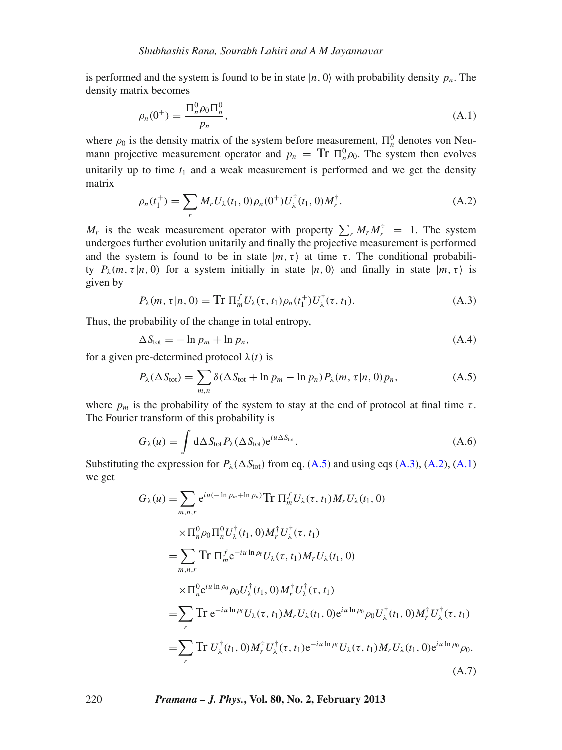is performed and the system is found to be in state  $|n, 0\rangle$  with probability density  $p_n$ . The density matrix becomes

<span id="page-13-3"></span>
$$
\rho_n(0^+) = \frac{\Pi_n^0 \rho_0 \Pi_n^0}{p_n},\tag{A.1}
$$

where  $\rho_0$  is the density matrix of the system before measurement,  $\prod_n^0$  denotes von Neumann projective measurement operator and  $p_n = Tr \prod_{n=0}^{n} \rho_0$ . The system then evolves unitarily up to time  $t_1$  and a weak measurement is performed and we get the density matrix

<span id="page-13-2"></span>
$$
\rho_n(t_1^+) = \sum_r M_r U_\lambda(t_1, 0) \rho_n(0^+) U_\lambda^\dagger(t_1, 0) M_r^\dagger. \tag{A.2}
$$

 $M_r$  is the weak measurement operator with property  $\sum_r M_r M_r^{\dagger} = 1$ . The system undergoes further evolution unitarily and finally the projective measurement is performed and the system is found to be in state  $|m, \tau\rangle$  at time  $\tau$ . The conditional probability  $P_{\lambda}(m, \tau | n, 0)$  for a system initially in state  $|n, 0\rangle$  and finally in state  $|m, \tau\rangle$  is given by

<span id="page-13-1"></span>
$$
P_{\lambda}(m,\tau|n,0) = \text{Tr}\,\Pi_m^f U_{\lambda}(\tau,t_1)\rho_n(t_1^+)U_{\lambda}^{\dagger}(\tau,t_1). \tag{A.3}
$$

Thus, the probability of the change in total entropy,

$$
\Delta S_{\text{tot}} = -\ln p_m + \ln p_n, \tag{A.4}
$$

for a given pre-determined protocol  $\lambda(t)$  is

<span id="page-13-0"></span>
$$
P_{\lambda}(\Delta S_{\text{tot}}) = \sum_{m,n} \delta(\Delta S_{\text{tot}} + \ln p_m - \ln p_n) P_{\lambda}(m, \tau | n, 0) p_n, \tag{A.5}
$$

where  $p_m$  is the probability of the system to stay at the end of protocol at final time  $\tau$ . The Fourier transform of this probability is

<span id="page-13-4"></span>
$$
G_{\lambda}(u) = \int d\Delta S_{\text{tot}} P_{\lambda}(\Delta S_{\text{tot}}) e^{iu\Delta S_{\text{tot}}}.
$$
\n(A.6)

Substituting the expression for  $P_{\lambda}(\Delta S_{\text{tot}})$  from eq. [\(A.5\)](#page-13-0) and using eqs [\(A.3\)](#page-13-1), [\(A.2\)](#page-13-2), [\(A.1\)](#page-13-3) we get

$$
G_{\lambda}(u) = \sum_{m,n,r} e^{iu(-\ln p_m + \ln p_n)} \text{Tr } \Pi_m^f U_{\lambda}(\tau, t_1) M_r U_{\lambda}(t_1, 0)
$$
  
\n
$$
\times \Pi_n^0 \rho_0 \Pi_n^0 U_{\lambda}^{\dagger}(t_1, 0) M_r^{\dagger} U_{\lambda}^{\dagger}(\tau, t_1)
$$
  
\n
$$
= \sum_{m,n,r} \text{Tr } \Pi_m^f e^{-iu \ln \rho_f} U_{\lambda}(\tau, t_1) M_r U_{\lambda}(t_1, 0)
$$
  
\n
$$
\times \Pi_n^0 e^{iu \ln \rho_0} \rho_0 U_{\lambda}^{\dagger}(t_1, 0) M_r^{\dagger} U_{\lambda}^{\dagger}(\tau, t_1)
$$
  
\n
$$
= \sum_r \text{Tr } e^{-iu \ln \rho_f} U_{\lambda}(\tau, t_1) M_r U_{\lambda}(t_1, 0) e^{iu \ln \rho_0} \rho_0 U_{\lambda}^{\dagger}(t_1, 0) M_r^{\dagger} U_{\lambda}^{\dagger}(\tau, t_1)
$$
  
\n
$$
= \sum_r \text{Tr } U_{\lambda}^{\dagger}(t_1, 0) M_r^{\dagger} U_{\lambda}^{\dagger}(\tau, t_1) e^{-iu \ln \rho_f} U_{\lambda}(\tau, t_1) M_r U_{\lambda}(t_1, 0) e^{iu \ln \rho_0} \rho_0.
$$
  
\n(A.7)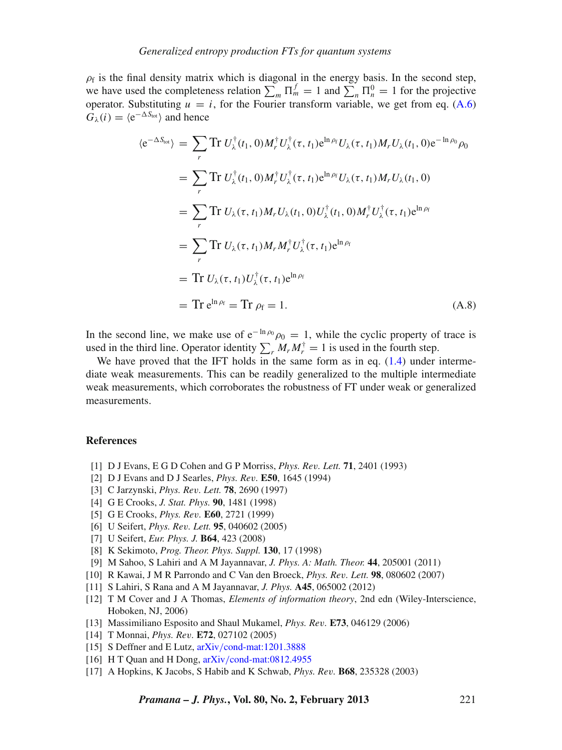$\rho_f$  is the final density matrix which is diagonal in the energy basis. In the second step, we have used the completeness relation  $\sum_{m} \prod_{m}^{f} = 1$  and  $\sum_{n} \prod_{n}^{0} = 1$  for the projective operator. Substituting  $u = i$ , for the Fourier transform variable, we get from eq. [\(A.6\)](#page-13-4)  $G_{\lambda}(i) = \langle e^{-\Delta S_{\text{tot}}}\rangle$  and hence

$$
\langle e^{-\Delta S_{tot}} \rangle = \sum_{r} \text{Tr} U_{\lambda}^{\dagger} (t_{1}, 0) M_{r}^{\dagger} U_{\lambda}^{\dagger} (\tau, t_{1}) e^{\ln \rho_{f}} U_{\lambda} (\tau, t_{1}) M_{r} U_{\lambda} (t_{1}, 0) e^{-\ln \rho_{0}} \rho_{0}
$$
  
\n
$$
= \sum_{r} \text{Tr} U_{\lambda}^{\dagger} (t_{1}, 0) M_{r}^{\dagger} U_{\lambda}^{\dagger} (\tau, t_{1}) e^{\ln \rho_{f}} U_{\lambda} (\tau, t_{1}) M_{r} U_{\lambda} (t_{1}, 0)
$$
  
\n
$$
= \sum_{r} \text{Tr} U_{\lambda} (\tau, t_{1}) M_{r} U_{\lambda} (t_{1}, 0) U_{\lambda}^{\dagger} (t_{1}, 0) M_{r}^{\dagger} U_{\lambda}^{\dagger} (\tau, t_{1}) e^{\ln \rho_{f}}
$$
  
\n
$$
= \sum_{r} \text{Tr} U_{\lambda} (\tau, t_{1}) M_{r} M_{r}^{\dagger} U_{\lambda}^{\dagger} (\tau, t_{1}) e^{\ln \rho_{f}}
$$
  
\n
$$
= \text{Tr} U_{\lambda} (\tau, t_{1}) U_{\lambda}^{\dagger} (\tau, t_{1}) e^{\ln \rho_{f}}
$$
  
\n
$$
= \text{Tr} e^{\ln \rho_{f}} = \text{Tr} \rho_{f} = 1.
$$
 (A.8)

In the second line, we make use of e<sup>-ln ρ</sup>0<sub>0</sub> = 1, while the cyclic property of trace is used in the third line. Operator identity  $\sum_{r} M_r M_r^{\dagger} = 1$  is used in the fourth step.

We have proved that the IFT holds in the same form as in eq.  $(1.4)$  under intermediate weak measurements. This can be readily generalized to the multiple intermediate weak measurements, which corroborates the robustness of FT under weak or generalized measurements.

#### **References**

- <span id="page-14-0"></span>[1] D J Evans, E G D Cohen and G P Morriss, *Phys. Re*v*. Lett.* **71**, 2401 (1993)
- [2] D J Evans and D J Searles, *Phys. Re*v*.* **E50**, 1645 (1994)
- <span id="page-14-5"></span>[3] C Jarzynski, *Phys. Re*v*. Lett.* **78**, 2690 (1997)
- <span id="page-14-3"></span>[4] G E Crooks, *J. Stat. Phys.* **90**, 1481 (1998)
- <span id="page-14-4"></span>[5] G E Crooks, *Phys. Re*v*.* **E60**, 2721 (1999)
- <span id="page-14-6"></span>[6] U Seifert, *Phys. Re*v*. Lett.* **95**, 040602 (2005)
- <span id="page-14-1"></span>[7] U Seifert, *Eur. Phys. J.* **B64**, 423 (2008)
- <span id="page-14-2"></span>[8] K Sekimoto, *Prog. Theor. Phys. Suppl.* **130**, 17 (1998)
- <span id="page-14-7"></span>[9] M Sahoo, S Lahiri and A M Jayannavar, *J. Phys. A: Math. Theor.* **44**, 205001 (2011)
- <span id="page-14-8"></span>[10] R Kawai, J M R Parrondo and C Van den Broeck, *Phys. Re*v*. Lett.* **98**, 080602 (2007)
- <span id="page-14-9"></span>[11] S Lahiri, S Rana and A M Jayannavar, *J. Phys.* **A45**, 065002 (2012)
- <span id="page-14-10"></span>[12] T M Cover and J A Thomas, *Elements of information theory*, 2nd edn (Wiley-Interscience, Hoboken, NJ, 2006)
- <span id="page-14-11"></span>[13] Massimiliano Esposito and Shaul Mukamel, *Phys. Re*v*.* **E73**, 046129 (2006)
- <span id="page-14-14"></span>[14] T Monnai, *Phys. Re*v*.* **E72**, 027102 (2005)
- <span id="page-14-12"></span>[15] S Deffner and E Lutz,  $arXiv/cond-mat:1201.3888$  $arXiv/cond-mat:1201.3888$
- <span id="page-14-13"></span>[16] H T Quan and H Dong,  $arXiv/cond-mat:0812.4955$  $arXiv/cond-mat:0812.4955$
- <span id="page-14-15"></span>[17] A Hopkins, K Jacobs, S Habib and K Schwab, *Phys. Re*v*.* **B68**, 235328 (2003)